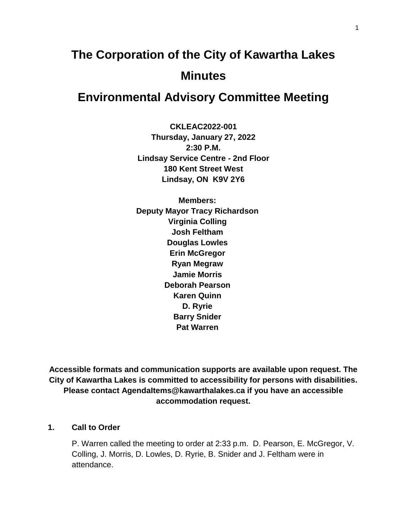# **The Corporation of the City of Kawartha Lakes Minutes**

# **Environmental Advisory Committee Meeting**

**CKLEAC2022-001 Thursday, January 27, 2022 2:30 P.M. Lindsay Service Centre - 2nd Floor 180 Kent Street West Lindsay, ON K9V 2Y6**

**Members: Deputy Mayor Tracy Richardson Virginia Colling Josh Feltham Douglas Lowles Erin McGregor Ryan Megraw Jamie Morris Deborah Pearson Karen Quinn D. Ryrie Barry Snider Pat Warren**

**Accessible formats and communication supports are available upon request. The City of Kawartha Lakes is committed to accessibility for persons with disabilities. Please contact AgendaItems@kawarthalakes.ca if you have an accessible accommodation request.** 

#### **1. Call to Order**

P. Warren called the meeting to order at 2:33 p.m. D. Pearson, E. McGregor, V. Colling, J. Morris, D. Lowles, D. Ryrie, B. Snider and J. Feltham were in attendance.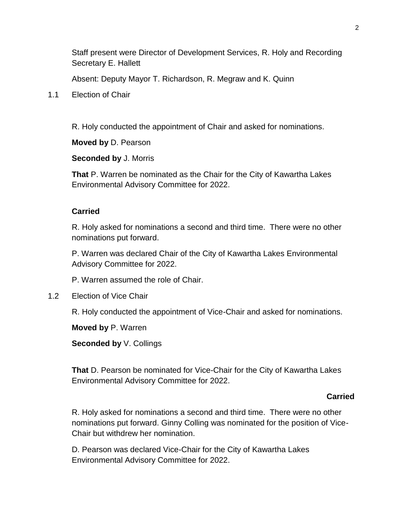Staff present were Director of Development Services, R. Holy and Recording Secretary E. Hallett

Absent: Deputy Mayor T. Richardson, R. Megraw and K. Quinn

1.1 Election of Chair

R. Holy conducted the appointment of Chair and asked for nominations.

**Moved by** D. Pearson

**Seconded by** J. Morris

**That** P. Warren be nominated as the Chair for the City of Kawartha Lakes Environmental Advisory Committee for 2022.

# **Carried**

R. Holy asked for nominations a second and third time. There were no other nominations put forward.

P. Warren was declared Chair of the City of Kawartha Lakes Environmental Advisory Committee for 2022.

P. Warren assumed the role of Chair.

1.2 Election of Vice Chair

R. Holy conducted the appointment of Vice-Chair and asked for nominations.

**Moved by** P. Warren

**Seconded by** V. Collings

**That** D. Pearson be nominated for Vice-Chair for the City of Kawartha Lakes Environmental Advisory Committee for 2022.

#### *Carried* **Carried Carried**

R. Holy asked for nominations a second and third time. There were no other nominations put forward. Ginny Colling was nominated for the position of Vice-Chair but withdrew her nomination.

D. Pearson was declared Vice-Chair for the City of Kawartha Lakes Environmental Advisory Committee for 2022.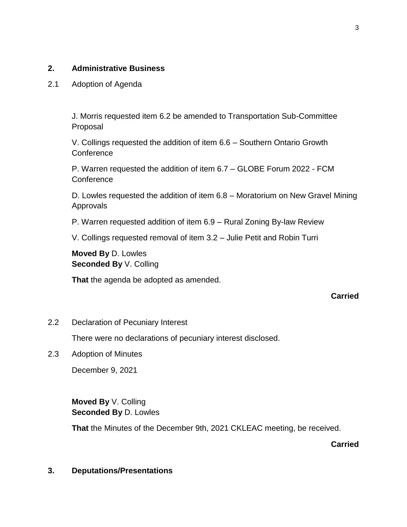# **2. Administrative Business**

2.1 Adoption of Agenda

J. Morris requested item 6.2 be amended to Transportation Sub-Committee Proposal

V. Collings requested the addition of item 6.6 – Southern Ontario Growth **Conference** 

P. Warren requested the addition of item 6.7 – GLOBE Forum 2022 - FCM **Conference** 

D. Lowles requested the addition of item 6.8 – Moratorium on New Gravel Mining Approvals

P. Warren requested addition of item 6.9 – Rural Zoning By-law Review

V. Collings requested removal of item 3.2 – Julie Petit and Robin Turri

**Moved By** D. Lowles **Seconded By** V. Colling

**That** the agenda be adopted as amended.

#### **Carried**

2.2 Declaration of Pecuniary Interest

There were no declarations of pecuniary interest disclosed.

2.3 Adoption of Minutes

December 9, 2021

**Moved By** V. Colling **Seconded By** D. Lowles

**That** the Minutes of the December 9th, 2021 CKLEAC meeting, be received.

**Carried**

#### **3. Deputations/Presentations**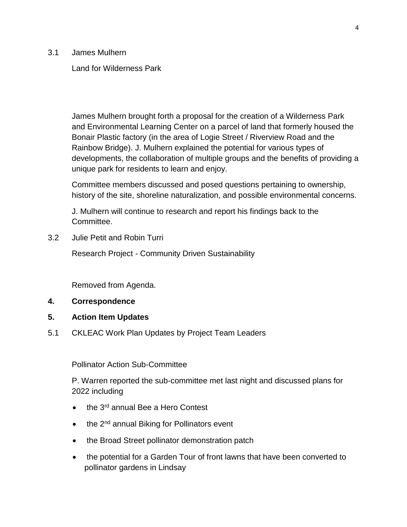3.1 James Mulhern

#### Land for Wilderness Park

James Mulhern brought forth a proposal for the creation of a Wilderness Park and Environmental Learning Center on a parcel of land that formerly housed the Bonair Plastic factory (in the area of Logie Street / Riverview Road and the Rainbow Bridge). J. Mulhern explained the potential for various types of developments, the collaboration of multiple groups and the benefits of providing a unique park for residents to learn and enjoy.

Committee members discussed and posed questions pertaining to ownership, history of the site, shoreline naturalization, and possible environmental concerns.

J. Mulhern will continue to research and report his findings back to the Committee.

3.2 Julie Petit and Robin Turri

Research Project - Community Driven Sustainability

Removed from Agenda.

- **4. Correspondence**
- **5. Action Item Updates**
- 5.1 CKLEAC Work Plan Updates by Project Team Leaders

Pollinator Action Sub-Committee

P. Warren reported the sub-committee met last night and discussed plans for 2022 including

- the 3<sup>rd</sup> annual Bee a Hero Contest
- $\bullet$  the 2<sup>nd</sup> annual Biking for Pollinators event
- the Broad Street pollinator demonstration patch
- the potential for a Garden Tour of front lawns that have been converted to pollinator gardens in Lindsay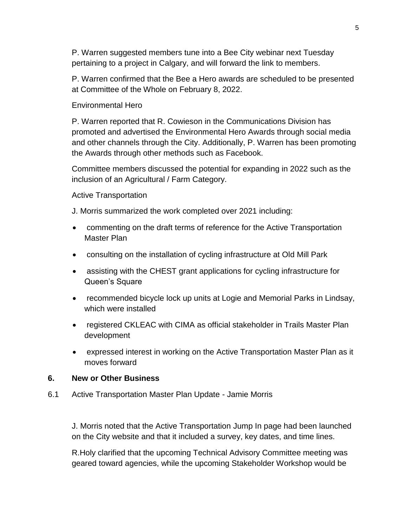P. Warren suggested members tune into a Bee City webinar next Tuesday pertaining to a project in Calgary, and will forward the link to members.

P. Warren confirmed that the Bee a Hero awards are scheduled to be presented at Committee of the Whole on February 8, 2022.

#### Environmental Hero

P. Warren reported that R. Cowieson in the Communications Division has promoted and advertised the Environmental Hero Awards through social media and other channels through the City. Additionally, P. Warren has been promoting the Awards through other methods such as Facebook.

Committee members discussed the potential for expanding in 2022 such as the inclusion of an Agricultural / Farm Category.

#### Active Transportation

J. Morris summarized the work completed over 2021 including:

- commenting on the draft terms of reference for the Active Transportation Master Plan
- consulting on the installation of cycling infrastructure at Old Mill Park
- assisting with the CHEST grant applications for cycling infrastructure for Queen's Square
- recommended bicycle lock up units at Logie and Memorial Parks in Lindsay, which were installed
- registered CKLEAC with CIMA as official stakeholder in Trails Master Plan development
- expressed interest in working on the Active Transportation Master Plan as it moves forward

#### **6. New or Other Business**

6.1 Active Transportation Master Plan Update - Jamie Morris

J. Morris noted that the Active Transportation Jump In page had been launched on the City website and that it included a survey, key dates, and time lines.

R.Holy clarified that the upcoming Technical Advisory Committee meeting was geared toward agencies, while the upcoming Stakeholder Workshop would be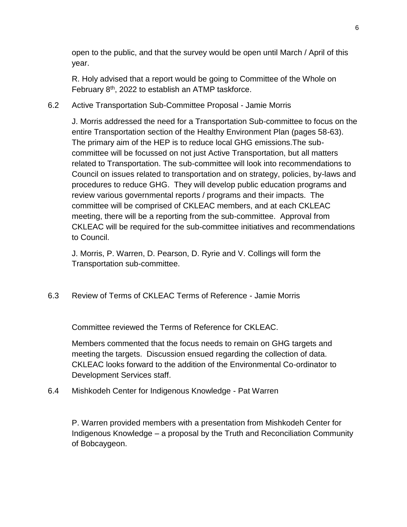open to the public, and that the survey would be open until March / April of this year.

R. Holy advised that a report would be going to Committee of the Whole on February  $8<sup>th</sup>$ , 2022 to establish an ATMP taskforce.

6.2 Active Transportation Sub-Committee Proposal - Jamie Morris

J. Morris addressed the need for a Transportation Sub-committee to focus on the entire Transportation section of the Healthy Environment Plan (pages 58-63). The primary aim of the HEP is to reduce local GHG emissions.The subcommittee will be focussed on not just Active Transportation, but all matters related to Transportation. The sub-committee will look into recommendations to Council on issues related to transportation and on strategy, policies, by-laws and procedures to reduce GHG. They will develop public education programs and review various governmental reports / programs and their impacts. The committee will be comprised of CKLEAC members, and at each CKLEAC meeting, there will be a reporting from the sub-committee. Approval from CKLEAC will be required for the sub-committee initiatives and recommendations to Council.

J. Morris, P. Warren, D. Pearson, D. Ryrie and V. Collings will form the Transportation sub-committee.

6.3 Review of Terms of CKLEAC Terms of Reference - Jamie Morris

Committee reviewed the Terms of Reference for CKLEAC.

Members commented that the focus needs to remain on GHG targets and meeting the targets. Discussion ensued regarding the collection of data. CKLEAC looks forward to the addition of the Environmental Co-ordinator to Development Services staff.

6.4 Mishkodeh Center for Indigenous Knowledge - Pat Warren

P. Warren provided members with a presentation from Mishkodeh Center for Indigenous Knowledge – a proposal by the Truth and Reconciliation Community of Bobcaygeon.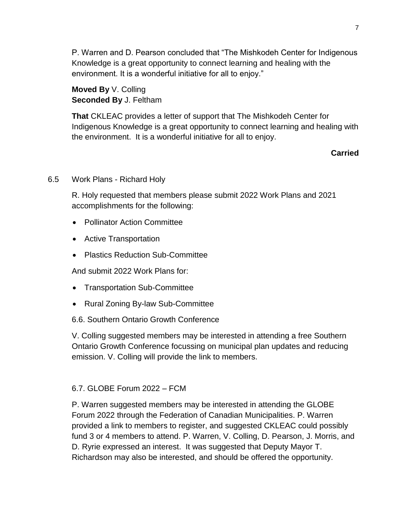P. Warren and D. Pearson concluded that "The Mishkodeh Center for Indigenous Knowledge is a great opportunity to connect learning and healing with the environment. It is a wonderful initiative for all to enjoy."

**Moved By** V. Colling **Seconded By** J. Feltham

**That** CKLEAC provides a letter of support that The Mishkodeh Center for Indigenous Knowledge is a great opportunity to connect learning and healing with the environment. It is a wonderful initiative for all to enjoy.

# **Carried**

## 6.5 Work Plans - Richard Holy

R. Holy requested that members please submit 2022 Work Plans and 2021 accomplishments for the following:

- Pollinator Action Committee
- Active Transportation
- Plastics Reduction Sub-Committee

And submit 2022 Work Plans for:

- Transportation Sub-Committee
- Rural Zoning By-law Sub-Committee
- 6.6. Southern Ontario Growth Conference

V. Colling suggested members may be interested in attending a free Southern Ontario Growth Conference focussing on municipal plan updates and reducing emission. V. Colling will provide the link to members.

# 6.7. GLOBE Forum 2022 – FCM

P. Warren suggested members may be interested in attending the GLOBE Forum 2022 through the Federation of Canadian Municipalities. P. Warren provided a link to members to register, and suggested CKLEAC could possibly fund 3 or 4 members to attend. P. Warren, V. Colling, D. Pearson, J. Morris, and D. Ryrie expressed an interest. It was suggested that Deputy Mayor T. Richardson may also be interested, and should be offered the opportunity.